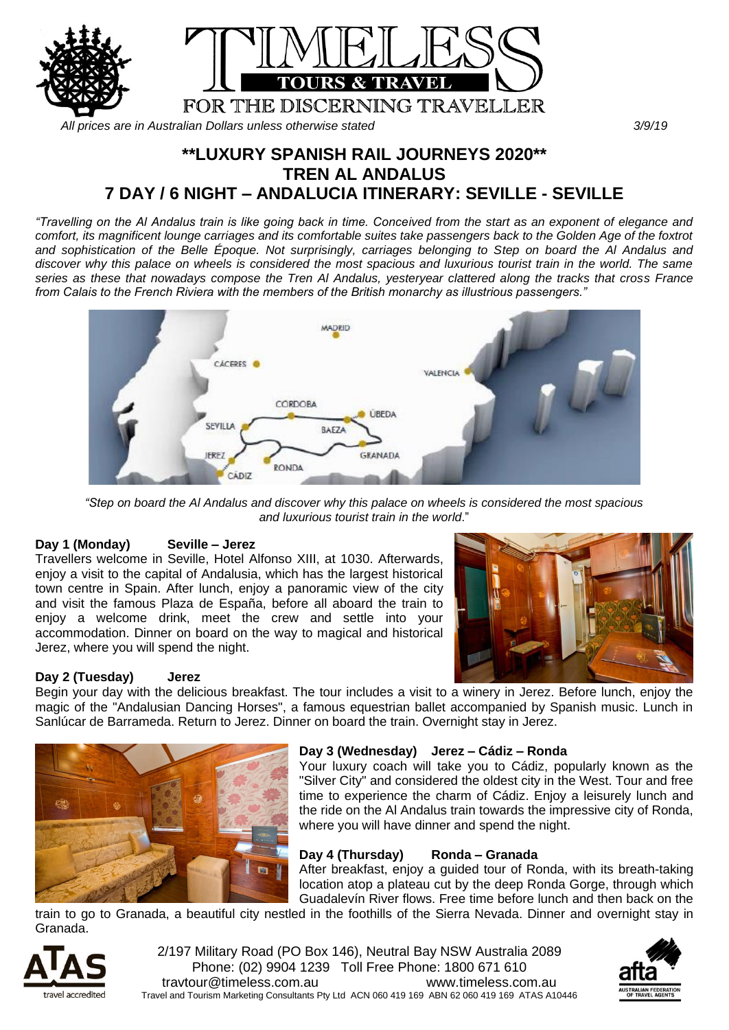

*All prices are in Australian Dollars unless otherwise stated 3/9/19*

# **\*\*LUXURY SPANISH RAIL JOURNEYS 2020\*\* TREN AL ANDALUS 7 DAY / 6 NIGHT – ANDALUCIA ITINERARY: SEVILLE - SEVILLE**

*"Travelling on the Al Andalus train is like going back in time. Conceived from the start as an exponent of elegance and comfort, its magnificent lounge carriages and its comfortable suites take passengers back to the Golden Age of the foxtrot and sophistication of the Belle Époque. Not surprisingly, carriages belonging to Step on board the Al Andalus and discover why this palace on wheels is considered the most spacious and luxurious tourist train in the world. The same series as these that nowadays compose the Tren Al Andalus, yesteryear clattered along the tracks that cross France from Calais to the French Riviera with the members of the British monarchy as illustrious passengers."*



*"Step on board the Al Andalus and discover why this palace on wheels is considered the most spacious and luxurious tourist train in the world*."

# **Day 1 (Monday) Seville – Jerez**

Travellers welcome in Seville, Hotel Alfonso XIII, at 1030. Afterwards, enjoy a visit to the capital of Andalusia, which has the largest historical town centre in Spain. After lunch, enjoy a panoramic view of the city and visit the famous Plaza de España, before all aboard the train to enjoy a welcome drink, meet the crew and settle into your accommodation. Dinner on board on the way to magical and historical Jerez, where you will spend the night.



# **Day 2 (Tuesday) Jerez**

Begin your day with the delicious breakfast. The tour includes a visit to a winery in Jerez. Before lunch, enjoy the magic of the "Andalusian Dancing Horses", a famous equestrian ballet accompanied by Spanish music. Lunch in Sanlúcar de Barrameda. Return to Jerez. Dinner on board the train. Overnight stay in Jerez.



# **Day 3 (Wednesday) Jerez – Cádiz – Ronda**

Your luxury coach will take you to Cádiz, popularly known as the "Silver City" and considered the oldest city in the West. Tour and free time to experience the charm of Cádiz. Enjoy a leisurely lunch and the ride on the Al Andalus train towards the impressive city of Ronda, where you will have dinner and spend the night.

# **Day 4 (Thursday) Ronda – Granada**

After breakfast, enjoy a guided tour of Ronda, with its breath-taking location atop a plateau cut by the deep Ronda Gorge, through which Guadalevín River flows. Free time before lunch and then back on the

train to go to Granada, a beautiful city nestled in the foothills of the Sierra Nevada. Dinner and overnight stay in Granada.



2/197 Military Road (PO Box 146), Neutral Bay NSW Australia 2089 Phone: (02) 9904 1239 Toll Free Phone: 1800 671 610 travtour@timeless.com.au www.timeless.com.au Travel and Tourism Marketing Consultants Pty Ltd ACN 060 419 169 ABN 62 060 419 169 ATAS A10446